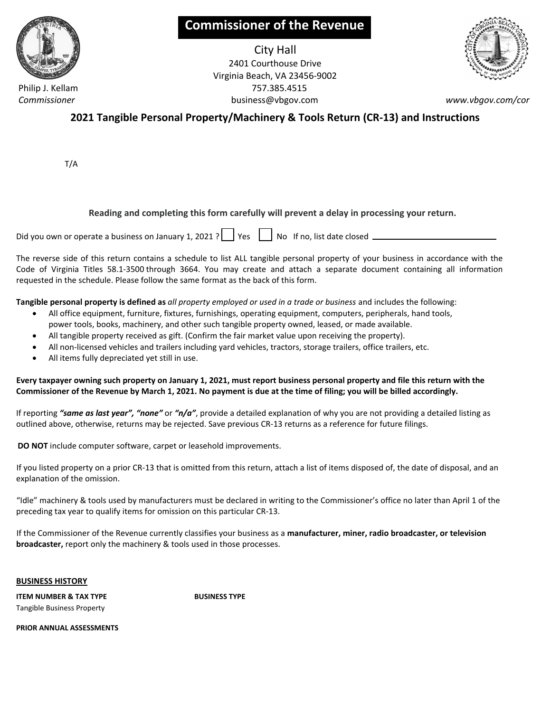

**Commissioner of the Revenue**

City Hall 2401 Courthouse Drive Virginia Beach, VA 23456-9002 Philip J. Kellam 757.385.4515  *Commissioner* business@vbgov.com *www.vbgov.com/cor*



**2021 Tangible Personal Property/Machinery & Tools Return (CR-13) and Instructions**

T/A

## **Reading and completing this form carefully will prevent a delay in processing your return.**

Did you own or operate a business on January 1, 2021 ?  $\vert \cdot \vert$  Yes  $\vert \cdot \vert$  No If no, list date closed \_\_\_\_\_

The reverse side of this return contains a schedule to list ALL tangible personal property of your business in accordance with the Code of Virginia Titles 58.1-3500 through 3664. You may create and attach a separate document containing all information requested in the schedule. Please follow the same format as the back of this form.

**Tangible personal property is defined as** *all property employed or used in a trade or business* and includes the following:

- · All office equipment, furniture, fixtures, furnishings, operating equipment, computers, peripherals, hand tools,
- power tools, books, machinery, and other such tangible property owned, leased, or made available.
- · All tangible property received as gift. (Confirm the fair market value upon receiving the property).
- · All non-licensed vehicles and trailers including yard vehicles, tractors, storage trailers, office trailers, etc.
- All items fully depreciated yet still in use.

**Every taxpayer owning such property on January 1, 2021, must report business personal property and file this return with the Commissioner of the Revenue by March 1, 2021. No payment is due at the time of filing; you will be billed accordingly.**

If reporting *"same as last year", "none"* or *"n/a"*, provide a detailed explanation of why you are not providing a detailed listing as outlined above, otherwise, returns may be rejected. Save previous CR-13 returns as a reference for future filings.

**DO NOT** include computer software, carpet or leasehold improvements.

If you listed property on a prior CR-13 that is omitted from this return, attach a list of items disposed of, the date of disposal, and an explanation of the omission.

"Idle" machinery & tools used by manufacturers must be declared in writing to the Commissioner's office no later than April 1 of the preceding tax year to qualify items for omission on this particular CR-13.

If the Commissioner of the Revenue currently classifies your business as a **manufacturer, miner, radio broadcaster, or television broadcaster,** report only the machinery & tools used in those processes.

**BUSINESS HISTORY**

**BUSINESS TYPE**

**ITEM NUMBER & TAX TYPE** Tangible Business Property

**PRIOR ANNUAL ASSESSMENTS**